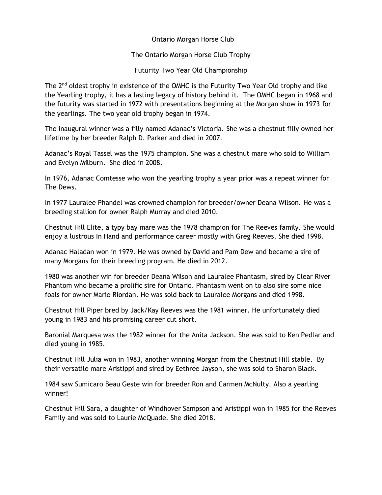Ontario Morgan Horse Club

## The Ontario Morgan Horse Club Trophy

Futurity Two Year Old Championship

The 2<sup>nd</sup> oldest trophy in existence of the OMHC is the Futurity Two Year Old trophy and like the Yearling trophy, it has a lasting legacy of history behind it. The OMHC began in 1968 and the futurity was started in 1972 with presentations beginning at the Morgan show in 1973 for the yearlings. The two year old trophy began in 1974.

The inaugural winner was a filly named Adanac's Victoria. She was a chestnut filly owned her lifetime by her breeder Ralph D. Parker and died in 2007.

Adanac's Royal Tassel was the 1975 champion. She was a chestnut mare who sold to William and Evelyn Milburn. She died in 2008.

In 1976, Adanac Comtesse who won the yearling trophy a year prior was a repeat winner for The Dews.

In 1977 Lauralee Phandel was crowned champion for breeder/owner Deana Wilson. He was a breeding stallion for owner Ralph Murray and died 2010.

Chestnut Hill Elite, a typy bay mare was the 1978 champion for The Reeves family. She would enjoy a lustrous In Hand and performance career mostly with Greg Reeves. She died 1998.

Adanac Haladan won in 1979. He was owned by David and Pam Dew and became a sire of many Morgans for their breeding program. He died in 2012.

1980 was another win for breeder Deana Wilson and Lauralee Phantasm, sired by Clear River Phantom who became a prolific sire for Ontario. Phantasm went on to also sire some nice foals for owner Marie Riordan. He was sold back to Lauralee Morgans and died 1998.

Chestnut Hill Piper bred by Jack/Kay Reeves was the 1981 winner. He unfortunately died young in 1983 and his promising career cut short.

Baronial Marquesa was the 1982 winner for the Anita Jackson. She was sold to Ken Pedlar and died young in 1985.

Chestnut Hill Julia won in 1983, another winning Morgan from the Chestnut Hill stable. By their versatile mare Aristippi and sired by Eethree Jayson, she was sold to Sharon Black.

1984 saw Sumicaro Beau Geste win for breeder Ron and Carmen McNulty. Also a yearling winner!

Chestnut Hill Sara, a daughter of Windhover Sampson and Aristippi won in 1985 for the Reeves Family and was sold to Laurie McQuade. She died 2018.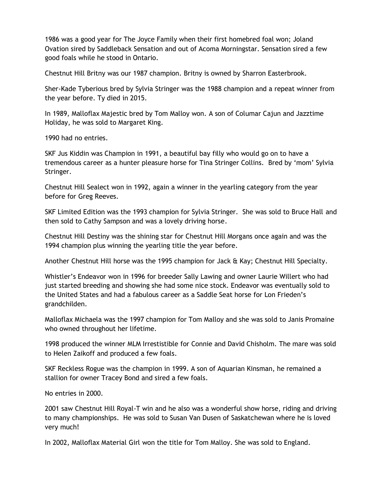1986 was a good year for The Joyce Family when their first homebred foal won; Joland Ovation sired by Saddleback Sensation and out of Acoma Morningstar. Sensation sired a few good foals while he stood in Ontario.

Chestnut Hill Britny was our 1987 champion. Britny is owned by Sharron Easterbrook.

Sher-Kade Tyberious bred by Sylvia Stringer was the 1988 champion and a repeat winner from the year before. Ty died in 2015.

In 1989, Malloflax Majestic bred by Tom Malloy won. A son of Columar Cajun and Jazztime Holiday, he was sold to Margaret King.

1990 had no entries.

SKF Jus Kiddin was Champion in 1991, a beautiful bay filly who would go on to have a tremendous career as a hunter pleasure horse for Tina Stringer Collins. Bred by 'mom' Sylvia Stringer.

Chestnut Hill Sealect won in 1992, again a winner in the yearling category from the year before for Greg Reeves.

SKF Limited Edition was the 1993 champion for Sylvia Stringer. She was sold to Bruce Hall and then sold to Cathy Sampson and was a lovely driving horse.

Chestnut Hill Destiny was the shining star for Chestnut Hill Morgans once again and was the 1994 champion plus winning the yearling title the year before.

Another Chestnut Hill horse was the 1995 champion for Jack & Kay; Chestnut Hill Specialty.

Whistler's Endeavor won in 1996 for breeder Sally Lawing and owner Laurie Willert who had just started breeding and showing she had some nice stock. Endeavor was eventually sold to the United States and had a fabulous career as a Saddle Seat horse for Lon Frieden's grandchilden.

Malloflax Michaela was the 1997 champion for Tom Malloy and she was sold to Janis Promaine who owned throughout her lifetime.

1998 produced the winner MLM Irrestistible for Connie and David Chisholm. The mare was sold to Helen Zaikoff and produced a few foals.

SKF Reckless Rogue was the champion in 1999. A son of Aquarian Kinsman, he remained a stallion for owner Tracey Bond and sired a few foals.

No entries in 2000.

2001 saw Chestnut Hill Royal-T win and he also was a wonderful show horse, riding and driving to many championships. He was sold to Susan Van Dusen of Saskatchewan where he is loved very much!

In 2002, Malloflax Material Girl won the title for Tom Malloy. She was sold to England.